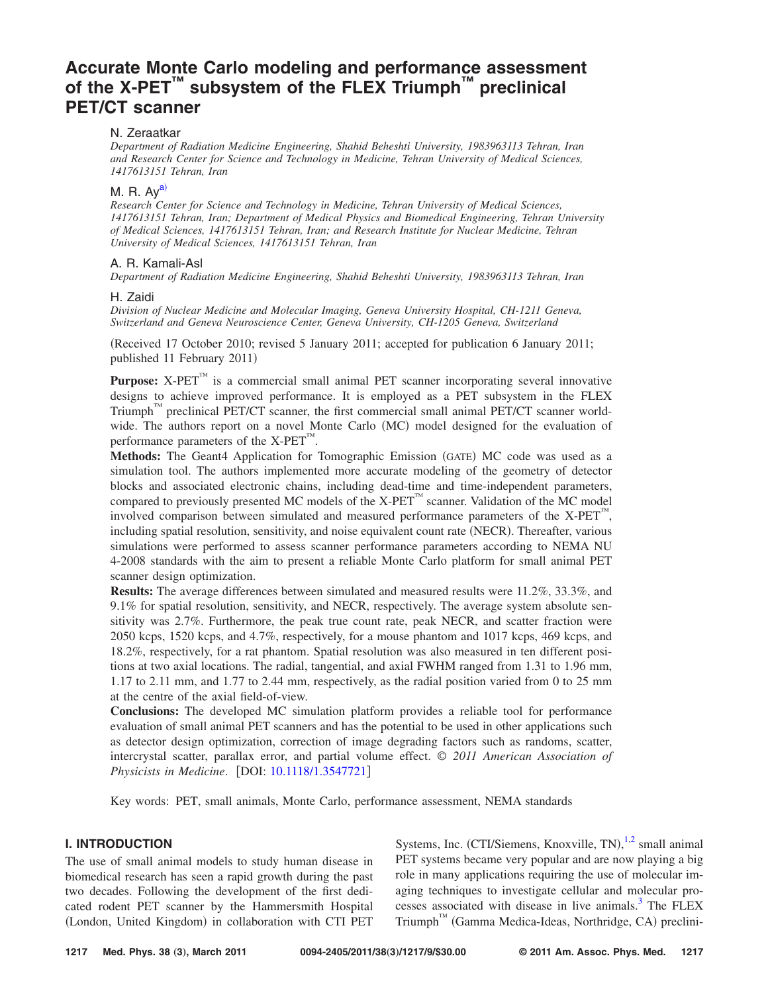# **[Accurate Monte Carlo modeling and performance assessment](http://dx.doi.org/10.1118/1.3547721) of the X-PET™ [subsystem of the FLEX Triumph](http://dx.doi.org/10.1118/1.3547721)™ preclinical [PET/CT scanner](http://dx.doi.org/10.1118/1.3547721)**

# N. Zeraatkar

*Department of Radiation Medicine Engineering, Shahid Beheshti University, 1983963113 Tehran, Iran and Research Center for Science and Technology in Medicine, Tehran University of Medical Sciences, 1417613151 Tehran, Iran*

# M. R. Ay<sup>a)</sup>

*Research Center for Science and Technology in Medicine, Tehran University of Medical Sciences, 1417613151 Tehran, Iran; Department of Medical Physics and Biomedical Engineering, Tehran University of Medical Sciences, 1417613151 Tehran, Iran; and Research Institute for Nuclear Medicine, Tehran University of Medical Sciences, 1417613151 Tehran, Iran*

# A. R. Kamali-Asl

*Department of Radiation Medicine Engineering, Shahid Beheshti University, 1983963113 Tehran, Iran*

#### H. Zaidi

*Division of Nuclear Medicine and Molecular Imaging, Geneva University Hospital, CH-1211 Geneva, Switzerland and Geneva Neuroscience Center, Geneva University, CH-1205 Geneva, Switzerland*

Received 17 October 2010; revised 5 January 2011; accepted for publication 6 January 2011; published 11 February 2011)

Purpose: X-PET™ is a commercial small animal PET scanner incorporating several innovative designs to achieve improved performance. It is employed as a PET subsystem in the FLEX Triumph<sup>™</sup> preclinical PET/CT scanner, the first commercial small animal PET/CT scanner worldwide. The authors report on a novel Monte Carlo (MC) model designed for the evaluation of performance parameters of the  $X-PET^{M}$ .

Methods: The Geant4 Application for Tomographic Emission (GATE) MC code was used as a simulation tool. The authors implemented more accurate modeling of the geometry of detector blocks and associated electronic chains, including dead-time and time-independent parameters, compared to previously presented MC models of the X-PET<sup> $<sup>TM</sup>$ </sup> scanner. Validation of the MC model</sup> involved comparison between simulated and measured performance parameters of the  $X-PET^{M}$ , including spatial resolution, sensitivity, and noise equivalent count rate (NECR). Thereafter, various simulations were performed to assess scanner performance parameters according to NEMA NU 4-2008 standards with the aim to present a reliable Monte Carlo platform for small animal PET scanner design optimization.

**Results:** The average differences between simulated and measured results were 11.2%, 33.3%, and 9.1% for spatial resolution, sensitivity, and NECR, respectively. The average system absolute sensitivity was 2.7%. Furthermore, the peak true count rate, peak NECR, and scatter fraction were 2050 kcps, 1520 kcps, and 4.7%, respectively, for a mouse phantom and 1017 kcps, 469 kcps, and 18.2%, respectively, for a rat phantom. Spatial resolution was also measured in ten different positions at two axial locations. The radial, tangential, and axial FWHM ranged from 1.31 to 1.96 mm, 1.17 to 2.11 mm, and 1.77 to 2.44 mm, respectively, as the radial position varied from 0 to 25 mm at the centre of the axial field-of-view.

**Conclusions:** The developed MC simulation platform provides a reliable tool for performance evaluation of small animal PET scanners and has the potential to be used in other applications such as detector design optimization, correction of image degrading factors such as randoms, scatter, intercrystal scatter, parallax error, and partial volume effect. © *2011 American Association of Physicists in Medicine.* [DOI: [10.1118/1.3547721](http://dx.doi.org/10.1118/1.3547721)]

Key words: PET, small animals, Monte Carlo, performance assessment, NEMA standards

# **I. INTRODUCTION**

The use of small animal models to study human disease in biomedical research has seen a rapid growth during the past two decades. Following the development of the first dedicated rodent PET scanner by the Hammersmith Hospital (London, United Kingdom) in collaboration with CTI PET

Systems, Inc. (CTI/Siemens, Knoxville, TN),<sup>[1](#page-7-1)[,2](#page-7-2)</sup> small animal PET systems became very popular and are now playing a big role in many applications requiring the use of molecular imaging techniques to investigate cellular and molecular processes associated with disease in live animals.<sup>3</sup> The FLEX Triumph™ (Gamma Medica-Ideas, Northridge, CA) preclini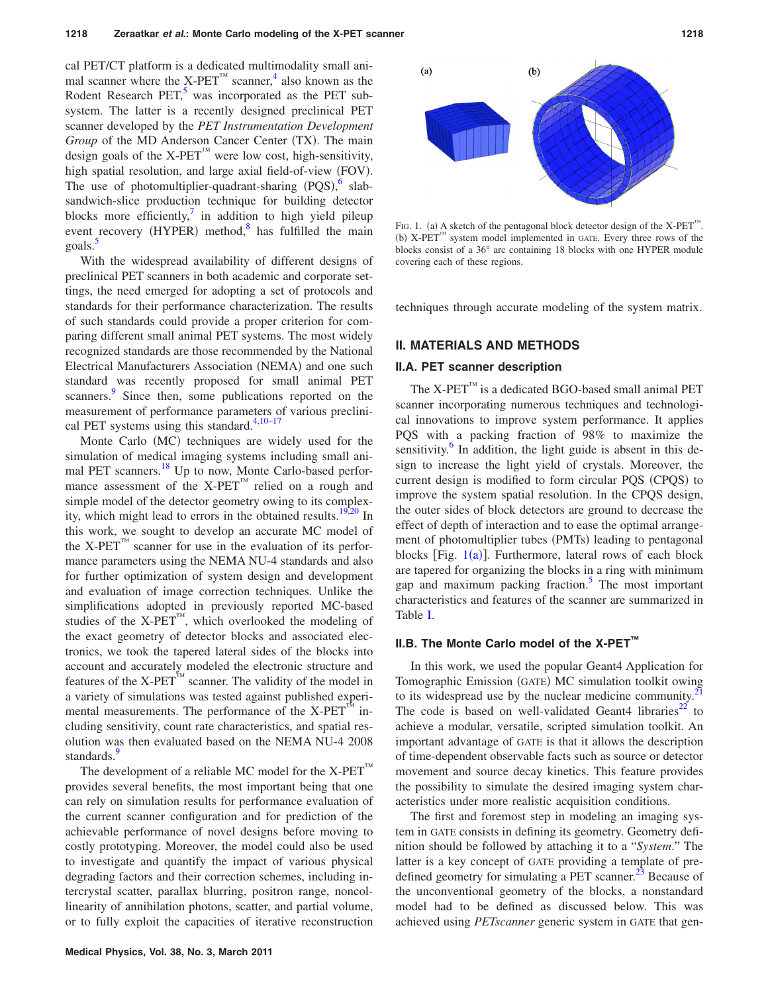cal PET/CT platform is a dedicated multimodality small ani-mal scanner where the X-PET<sup>™</sup> scanner,<sup>[4](#page-7-4)</sup> also known as the Rodent Research PET, $5$  was incorporated as the PET subsystem. The latter is a recently designed preclinical PET scanner developed by the *PET Instrumentation Development* Group of the MD Anderson Cancer Center (TX). The main design goals of the X-PET<sup> $<sup>TM</sup>$  were low cost, high-sensitivity,</sup></sup> high spatial resolution, and large axial field-of-view (FOV). The use of photomultiplier-quadrant-sharing  $(PQS)$ , slabsandwich-slice production technique for building detector blocks more efficiently, $\prime$  in addition to high yield pileup event recovery (HYPER) method, $8$  has fulfilled the main goals[.5](#page-8-0)

With the widespread availability of different designs of preclinical PET scanners in both academic and corporate settings, the need emerged for adopting a set of protocols and standards for their performance characterization. The results of such standards could provide a proper criterion for comparing different small animal PET systems. The most widely recognized standards are those recommended by the National Electrical Manufacturers Association (NEMA) and one such standard was recently proposed for small animal PET scanners.<sup>[9](#page-8-4)</sup> Since then, some publications reported on the measurement of performance parameters of various preclinical PET systems using this standard. $4,10-17$  $4,10-17$  $4,10-17$ 

Monte Carlo (MC) techniques are widely used for the simulation of medical imaging systems including small animal PET scanners.<sup>18</sup> Up to now, Monte Carlo-based performance assessment of the X-PET<sup>™</sup> relied on a rough and simple model of the detector geometry owing to its complexity, which might lead to errors in the obtained results. $\frac{19,20}{2}$  $\frac{19,20}{2}$  $\frac{19,20}{2}$  In this work, we sought to develop an accurate MC model of the  $X-PET^{\prime\prime\prime}$  scanner for use in the evaluation of its performance parameters using the NEMA NU-4 standards and also for further optimization of system design and development and evaluation of image correction techniques. Unlike the simplifications adopted in previously reported MC-based studies of the  $X-PET^{M}$ , which overlooked the modeling of the exact geometry of detector blocks and associated electronics, we took the tapered lateral sides of the blocks into account and accurately modeled the electronic structure and features of the  $X-PET^M$  scanner. The validity of the model in a variety of simulations was tested against published experimental measurements. The performance of the X-PET<sup>A</sup> including sensitivity, count rate characteristics, and spatial resolution was then evaluated based on the NEMA NU-4 2008 standards.<sup>9</sup>

The development of a reliable MC model for the  $X-PET^{M}$ provides several benefits, the most important being that one can rely on simulation results for performance evaluation of the current scanner configuration and for prediction of the achievable performance of novel designs before moving to costly prototyping. Moreover, the model could also be used to investigate and quantify the impact of various physical degrading factors and their correction schemes, including intercrystal scatter, parallax blurring, positron range, noncollinearity of annihilation photons, scatter, and partial volume, or to fully exploit the capacities of iterative reconstruction



<span id="page-1-0"></span>

FIG. 1. (a) A sketch of the pentagonal block detector design of the  $X-PET^{M}$ . (b)  $X$ -PET<sup>™</sup> system model implemented in GATE. Every three rows of the blocks consist of a 36° arc containing 18 blocks with one HYPER module covering each of these regions.

techniques through accurate modeling of the system matrix.

# **II. MATERIALS AND METHODS**

#### **II.A. PET scanner description**

The  $X-PET^M$  is a dedicated BGO-based small animal PET scanner incorporating numerous techniques and technological innovations to improve system performance. It applies PQS with a packing fraction of 98% to maximize the sensitivity.<sup>6</sup> In addition, the light guide is absent in this design to increase the light yield of crystals. Moreover, the current design is modified to form circular PQS (CPQS) to improve the system spatial resolution. In the CPQS design, the outer sides of block detectors are ground to decrease the effect of depth of interaction and to ease the optimal arrangement of photomultiplier tubes (PMTs) leading to pentagonal blocks [Fig.  $1(a)$  $1(a)$ ]. Furthermore, lateral rows of each block are tapered for organizing the blocks in a ring with minimum gap and maximum packing fraction.<sup>5</sup> The most important characteristics and features of the scanner are summarized in Table [I.](#page-2-0)

## **II.B. The Monte Carlo model of the X-PET™**

In this work, we used the popular Geant4 Application for Tomographic Emission (GATE) MC simulation toolkit owing to its widespread use by the nuclear medicine community. $^{2}$ The code is based on well-validated Geant4 libraries<sup>22</sup> to achieve a modular, versatile, scripted simulation toolkit. An important advantage of GATE is that it allows the description of time-dependent observable facts such as source or detector movement and source decay kinetics. This feature provides the possibility to simulate the desired imaging system characteristics under more realistic acquisition conditions.

The first and foremost step in modeling an imaging system in GATE consists in defining its geometry. Geometry definition should be followed by attaching it to a "*System*." The latter is a key concept of GATE providing a template of predefined geometry for simulating a PET scanner.<sup>23</sup> Because of the unconventional geometry of the blocks, a nonstandard model had to be defined as discussed below. This was achieved using *PETscanner* generic system in GATE that gen-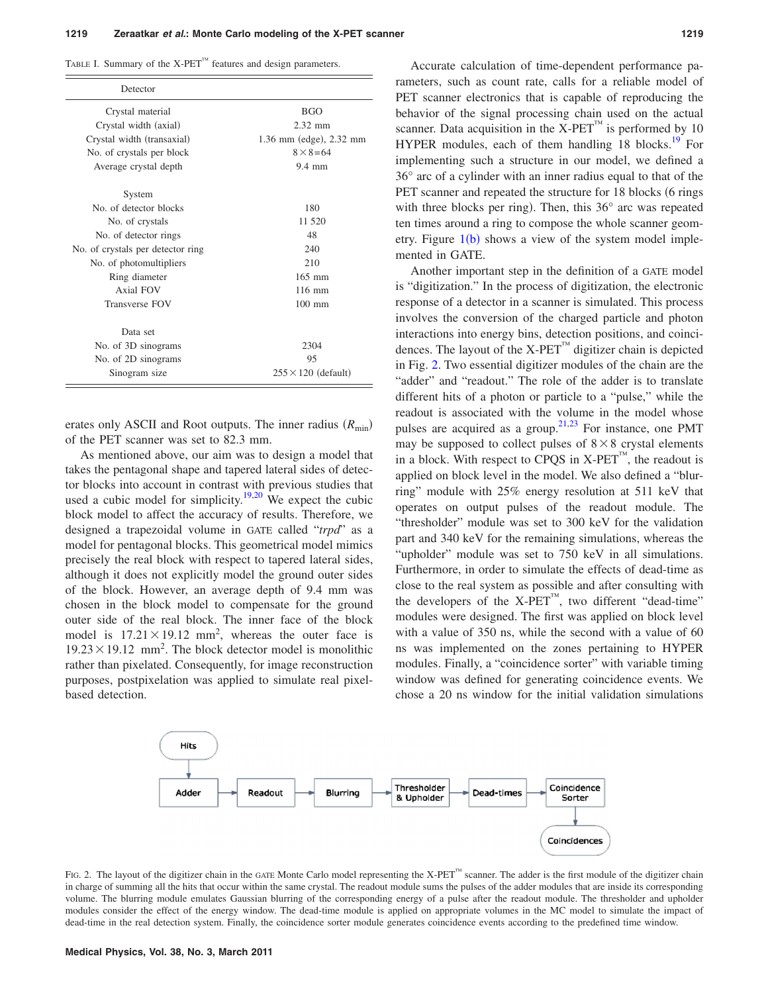<span id="page-2-0"></span>TABLE I. Summary of the  $X$ -PET<sup> $M$ </sup> features and design parameters.

| Detector                          |                            |
|-----------------------------------|----------------------------|
| Crystal material                  | <b>BGO</b>                 |
| Crystal width (axial)             | $2.32$ mm                  |
| Crystal width (transaxial)        | 1.36 mm (edge), 2.32 mm    |
| No. of crystals per block         | $8 \times 8 = 64$          |
| Average crystal depth             | $9.4 \text{ mm}$           |
| System                            |                            |
| No. of detector blocks            | 180                        |
| No. of crystals                   | 11 520                     |
| No. of detector rings             | 48                         |
| No. of crystals per detector ring | 240                        |
| No. of photomultipliers           | 210                        |
| Ring diameter                     | $165$ mm                   |
| Axial FOV                         | $116$ mm                   |
| Transverse FOV                    | $100 \text{ mm}$           |
| Data set                          |                            |
| No. of 3D sinograms               | 2304                       |
| No. of 2D sinograms               | 95                         |
| Sinogram size                     | $255 \times 120$ (default) |

erates only ASCII and Root outputs. The inner radius ( $R_{min}$ ) of the PET scanner was set to 82.3 mm.

As mentioned above, our aim was to design a model that takes the pentagonal shape and tapered lateral sides of detector blocks into account in contrast with previous studies that used a cubic model for simplicity.<sup>19,[20](#page-8-9)</sup> We expect the cubic block model to affect the accuracy of results. Therefore, we designed a trapezoidal volume in GATE called "*trpd*" as a model for pentagonal blocks. This geometrical model mimics precisely the real block with respect to tapered lateral sides, although it does not explicitly model the ground outer sides of the block. However, an average depth of 9.4 mm was chosen in the block model to compensate for the ground outer side of the real block. The inner face of the block model is  $17.21 \times 19.12$  mm<sup>2</sup>, whereas the outer face is  $19.23 \times 19.12$  mm<sup>2</sup>. The block detector model is monolithic rather than pixelated. Consequently, for image reconstruction purposes, postpixelation was applied to simulate real pixelbased detection.

Accurate calculation of time-dependent performance parameters, such as count rate, calls for a reliable model of PET scanner electronics that is capable of reproducing the behavior of the signal processing chain used on the actual scanner. Data acquisition in the  $X-PET^M$  is performed by 10 HYPER modules, each of them handling 18 blocks.<sup>19</sup> For implementing such a structure in our model, we defined a 36° arc of a cylinder with an inner radius equal to that of the PET scanner and repeated the structure for 18 blocks (6 rings with three blocks per ring). Then, this 36° arc was repeated ten times around a ring to compose the whole scanner geometry. Figure  $1(b)$  $1(b)$  shows a view of the system model implemented in GATE.

Another important step in the definition of a GATE model is "digitization." In the process of digitization, the electronic response of a detector in a scanner is simulated. This process involves the conversion of the charged particle and photon interactions into energy bins, detection positions, and coincidences. The layout of the  $X-PET^{m}$  digitizer chain is depicted in Fig. [2.](#page-2-1) Two essential digitizer modules of the chain are the "adder" and "readout." The role of the adder is to translate different hits of a photon or particle to a "pulse," while the readout is associated with the volume in the model whose pulses are acquired as a group. $2^{1,23}$  $2^{1,23}$  $2^{1,23}$  For instance, one PMT may be supposed to collect pulses of  $8 \times 8$  crystal elements in a block. With respect to CPQS in  $X-PET^{\prime\prime\prime}$ , the readout is applied on block level in the model. We also defined a "blurring" module with 25% energy resolution at 511 keV that operates on output pulses of the readout module. The "thresholder" module was set to 300 keV for the validation part and 340 keV for the remaining simulations, whereas the "upholder" module was set to 750 keV in all simulations. Furthermore, in order to simulate the effects of dead-time as close to the real system as possible and after consulting with the developers of the X-PET™, two different "dead-time" modules were designed. The first was applied on block level with a value of 350 ns, while the second with a value of 60 ns was implemented on the zones pertaining to HYPER modules. Finally, a "coincidence sorter" with variable timing window was defined for generating coincidence events. We chose a 20 ns window for the initial validation simulations

<span id="page-2-1"></span>

FIG. 2. The layout of the digitizer chain in the GATE Monte Carlo model representing the X-PET™ scanner. The adder is the first module of the digitizer chain in charge of summing all the hits that occur within the same crystal. The readout module sums the pulses of the adder modules that are inside its corresponding volume. The blurring module emulates Gaussian blurring of the corresponding energy of a pulse after the readout module. The thresholder and upholder modules consider the effect of the energy window. The dead-time module is applied on appropriate volumes in the MC model to simulate the impact of dead-time in the real detection system. Finally, the coincidence sorter module generates coincidence events according to the predefined time window.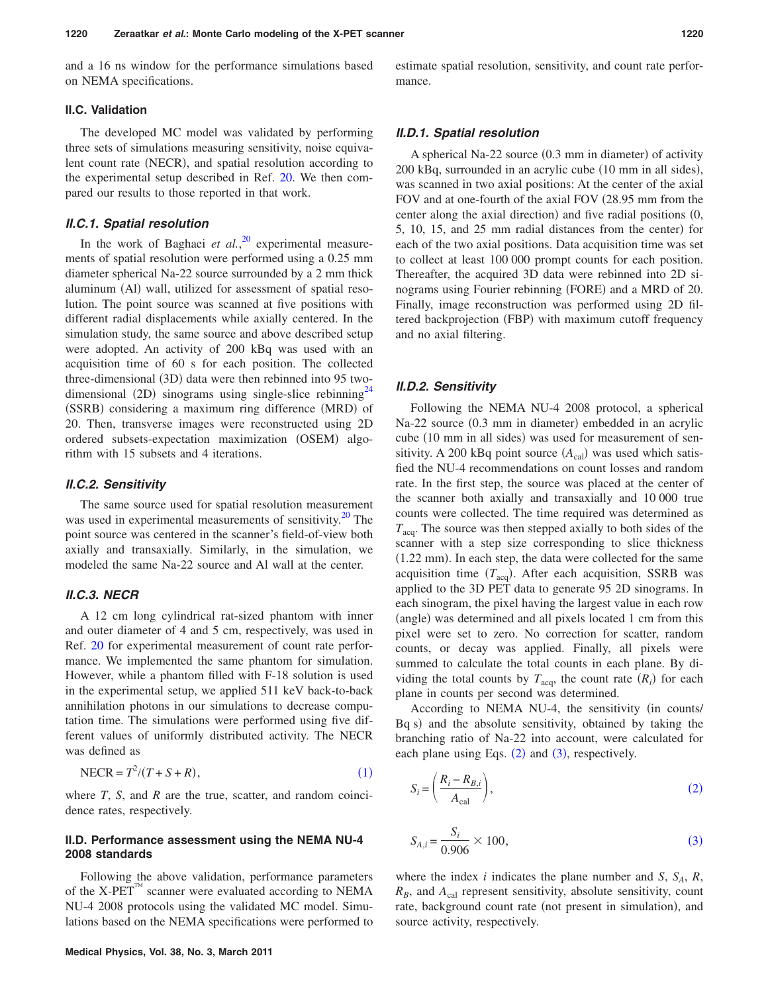and a 16 ns window for the performance simulations based on NEMA specifications.

# **II.C. Validation**

The developed MC model was validated by performing three sets of simulations measuring sensitivity, noise equivalent count rate (NECR), and spatial resolution according to the experimental setup described in Ref. [20.](#page-8-9) We then compared our results to those reported in that work.

#### *II.C.1. Spatial resolution*

In the work of Baghaei *et al.*,<sup>[20](#page-8-9)</sup> experimental measurements of spatial resolution were performed using a 0.25 mm diameter spherical Na-22 source surrounded by a 2 mm thick aluminum (Al) wall, utilized for assessment of spatial resolution. The point source was scanned at five positions with different radial displacements while axially centered. In the simulation study, the same source and above described setup were adopted. An activity of 200 kBq was used with an acquisition time of 60 s for each position. The collected three-dimensional (3D) data were then rebinned into 95 twodimensional (2D) sinograms using single-slice rebinning<sup>24</sup> (SSRB) considering a maximum ring difference (MRD) of 20. Then, transverse images were reconstructed using 2D ordered subsets-expectation maximization (OSEM) algorithm with 15 subsets and 4 iterations.

#### *II.C.2. Sensitivity*

The same source used for spatial resolution measurement was used in experimental measurements of sensitivity.<sup>20</sup> The point source was centered in the scanner's field-of-view both axially and transaxially. Similarly, in the simulation, we modeled the same Na-22 source and Al wall at the center.

# *II.C.3. NECR*

A 12 cm long cylindrical rat-sized phantom with inner and outer diameter of 4 and 5 cm, respectively, was used in Ref. [20](#page-8-9) for experimental measurement of count rate performance. We implemented the same phantom for simulation. However, while a phantom filled with F-18 solution is used in the experimental setup, we applied 511 keV back-to-back annihilation photons in our simulations to decrease computation time. The simulations were performed using five different values of uniformly distributed activity. The NECR was defined as

<span id="page-3-0"></span>
$$
NECR = T^2/(T + S + R),\tag{1}
$$

where *T*, *S*, and *R* are the true, scatter, and random coincidence rates, respectively.

#### **II.D. Performance assessment using the NEMA NU-4 2008 standards**

Following the above validation, performance parameters of the X-PET<sup>™</sup> scanner were evaluated according to NEMA NU-4 2008 protocols using the validated MC model. Simulations based on the NEMA specifications were performed to estimate spatial resolution, sensitivity, and count rate performance.

#### *II.D.1. Spatial resolution*

A spherical Na-22 source (0.3 mm in diameter) of activity 200 kBq, surrounded in an acrylic cube (10 mm in all sides), was scanned in two axial positions: At the center of the axial FOV and at one-fourth of the axial FOV (28.95 mm from the center along the axial direction) and five radial positions (0, 5, 10, 15, and 25 mm radial distances from the center) for each of the two axial positions. Data acquisition time was set to collect at least 100 000 prompt counts for each position. Thereafter, the acquired 3D data were rebinned into 2D sinograms using Fourier rebinning (FORE) and a MRD of 20. Finally, image reconstruction was performed using 2D filtered backprojection (FBP) with maximum cutoff frequency and no axial filtering.

#### *II.D.2. Sensitivity*

Following the NEMA NU-4 2008 protocol, a spherical Na-22 source (0.3 mm in diameter) embedded in an acrylic cube (10 mm in all sides) was used for measurement of sensitivity. A 200 kBq point source  $(A_{cal}$ ) was used which satisfied the NU-4 recommendations on count losses and random rate. In the first step, the source was placed at the center of the scanner both axially and transaxially and 10 000 true counts were collected. The time required was determined as  $T_{\text{acc}}$ . The source was then stepped axially to both sides of the scanner with a step size corresponding to slice thickness  $(1.22 \text{ mm})$ . In each step, the data were collected for the same acquisition time  $(T_{acq})$ . After each acquisition, SSRB was applied to the 3D PET data to generate 95 2D sinograms. In each sinogram, the pixel having the largest value in each row (angle) was determined and all pixels located 1 cm from this pixel were set to zero. No correction for scatter, random counts, or decay was applied. Finally, all pixels were summed to calculate the total counts in each plane. By dividing the total counts by  $T_{acq}$ , the count rate  $(R_i)$  for each plane in counts per second was determined.

According to NEMA NU-4, the sensitivity (in counts/ Bq s) and the absolute sensitivity, obtained by taking the branching ratio of Na-22 into account, were calculated for each plane using Eqs.  $(2)$  $(2)$  $(2)$  and  $(3)$  $(3)$  $(3)$ , respectively.

<span id="page-3-1"></span>
$$
S_i = \left(\frac{R_i - R_{B,i}}{A_{\text{cal}}}\right),\tag{2}
$$

<span id="page-3-2"></span>
$$
S_{A,i} = \frac{S_i}{0.906} \times 100,\tag{3}
$$

where the index *i* indicates the plane number and *S*,  $S_A$ ,  $R$ ,  $R_B$ , and  $A_{\text{cal}}$  represent sensitivity, absolute sensitivity, count rate, background count rate (not present in simulation), and source activity, respectively.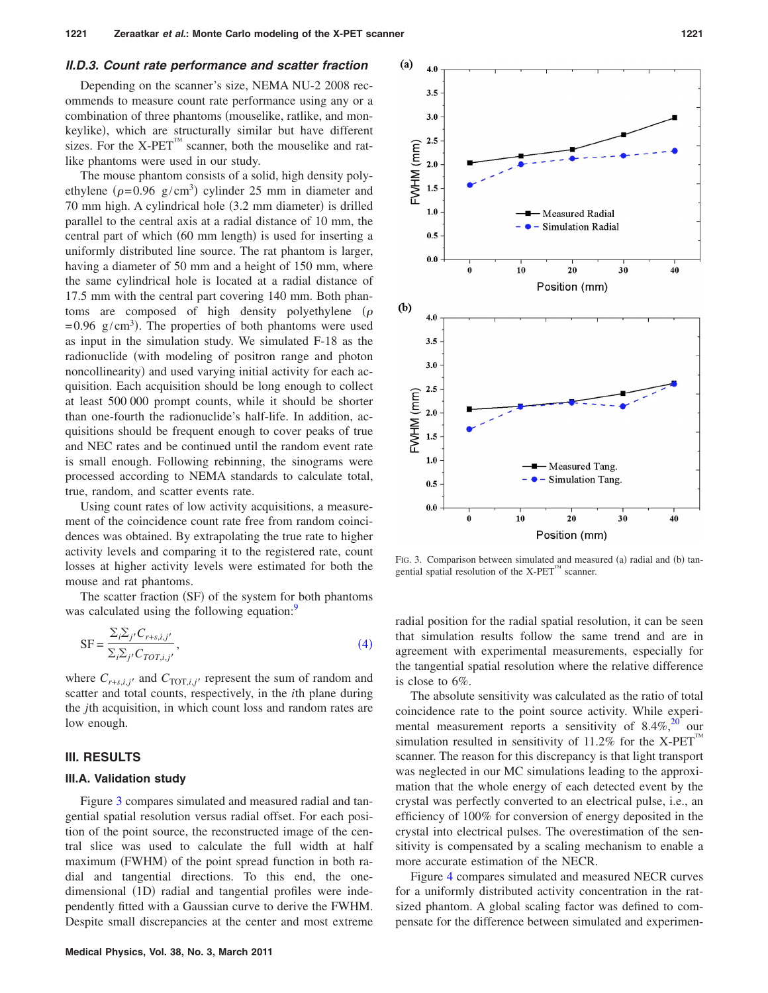#### *II.D.3. Count rate performance and scatter fraction*

Depending on the scanner's size, NEMA NU-2 2008 recommends to measure count rate performance using any or a combination of three phantoms (mouselike, ratlike, and monkeylike), which are structurally similar but have different sizes. For the X-PET<sup> $M$ </sup> scanner, both the mouselike and ratlike phantoms were used in our study.

The mouse phantom consists of a solid, high density polyethylene ( $\rho$ =0.96 g/cm<sup>3</sup>) cylinder 25 mm in diameter and 70 mm high. A cylindrical hole (3.2 mm diameter) is drilled parallel to the central axis at a radial distance of 10 mm, the central part of which (60 mm length) is used for inserting a uniformly distributed line source. The rat phantom is larger, having a diameter of 50 mm and a height of 150 mm, where the same cylindrical hole is located at a radial distance of 17.5 mm with the central part covering 140 mm. Both phantoms are composed of high density polyethylene  $(\rho$  $=0.96$  g/cm<sup>3</sup>). The properties of both phantoms were used as input in the simulation study. We simulated F-18 as the radionuclide (with modeling of positron range and photon noncollinearity) and used varying initial activity for each acquisition. Each acquisition should be long enough to collect at least 500 000 prompt counts, while it should be shorter than one-fourth the radionuclide's half-life. In addition, acquisitions should be frequent enough to cover peaks of true and NEC rates and be continued until the random event rate is small enough. Following rebinning, the sinograms were processed according to NEMA standards to calculate total, true, random, and scatter events rate.

Using count rates of low activity acquisitions, a measurement of the coincidence count rate free from random coincidences was obtained. By extrapolating the true rate to higher activity levels and comparing it to the registered rate, count losses at higher activity levels were estimated for both the mouse and rat phantoms.

The scatter fraction (SF) of the system for both phantoms was calculated using the following equation:<sup>9</sup>

<span id="page-4-0"></span>
$$
SF = \frac{\sum_{i} \sum_{j'} C_{r+s,i,j'}}{\sum_{i} \sum_{j'} C_{TOT,i,j'}},
$$
\n(4)

where  $C_{r+s,i,j'}$  and  $C_{\text{TOT},i,j'}$  represent the sum of random and scatter and total counts, respectively, in the *i*th plane during the *j*th acquisition, in which count loss and random rates are low enough.

# **III. RESULTS**

#### **III.A. Validation study**

Figure [3](#page-4-1) compares simulated and measured radial and tangential spatial resolution versus radial offset. For each position of the point source, the reconstructed image of the central slice was used to calculate the full width at half maximum (FWHM) of the point spread function in both radial and tangential directions. To this end, the onedimensional (1D) radial and tangential profiles were independently fitted with a Gaussian curve to derive the FWHM. Despite small discrepancies at the center and most extreme

<span id="page-4-1"></span>

FIG. 3. Comparison between simulated and measured (a) radial and (b) tangential spatial resolution of the  $X$ -PET<sup> $M$ </sup> scanner.

radial position for the radial spatial resolution, it can be seen that simulation results follow the same trend and are in agreement with experimental measurements, especially for the tangential spatial resolution where the relative difference is close to 6%.

The absolute sensitivity was calculated as the ratio of total coincidence rate to the point source activity. While experimental measurement reports a sensitivity of  $8.4\%$ ,<sup>20</sup> our simulation resulted in sensitivity of  $11.2\%$  for the X-PET scanner. The reason for this discrepancy is that light transport was neglected in our MC simulations leading to the approximation that the whole energy of each detected event by the crystal was perfectly converted to an electrical pulse, i.e., an efficiency of 100% for conversion of energy deposited in the crystal into electrical pulses. The overestimation of the sensitivity is compensated by a scaling mechanism to enable a more accurate estimation of the NECR.

Figure [4](#page-5-0) compares simulated and measured NECR curves for a uniformly distributed activity concentration in the ratsized phantom. A global scaling factor was defined to compensate for the difference between simulated and experimen-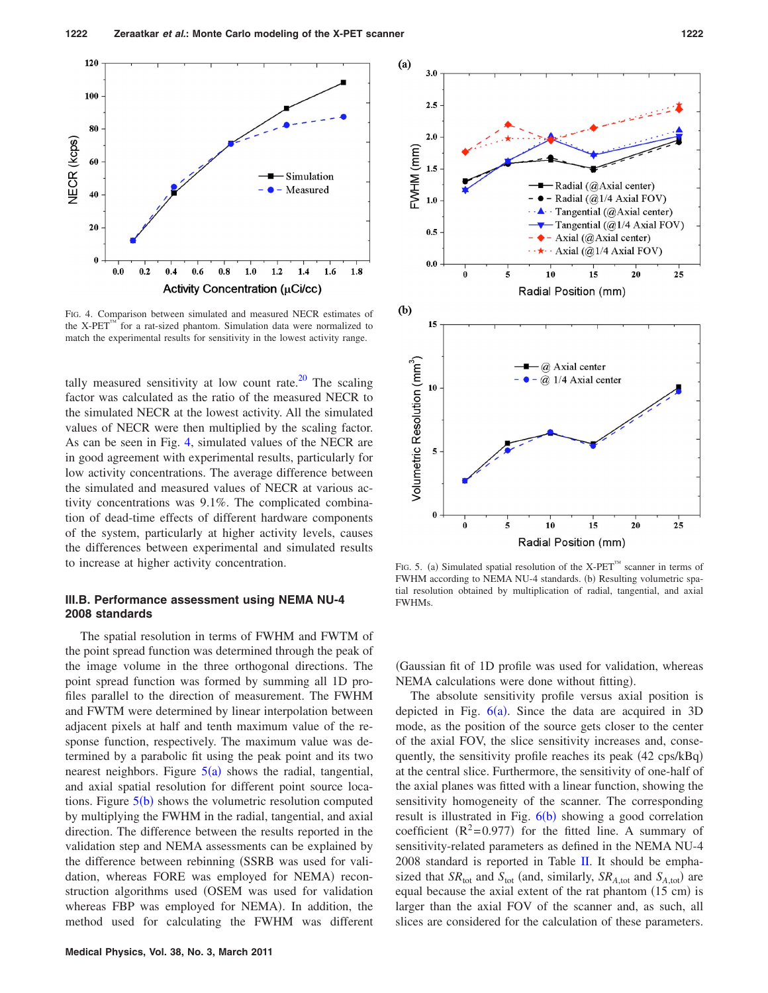<span id="page-5-0"></span>

FIG. 4. Comparison between simulated and measured NECR estimates of the X-PET<sup>™</sup> for a rat-sized phantom. Simulation data were normalized to match the experimental results for sensitivity in the lowest activity range.

tally measured sensitivity at low count rate.<sup>20</sup> The scaling factor was calculated as the ratio of the measured NECR to the simulated NECR at the lowest activity. All the simulated values of NECR were then multiplied by the scaling factor. As can be seen in Fig. [4,](#page-5-0) simulated values of the NECR are in good agreement with experimental results, particularly for low activity concentrations. The average difference between the simulated and measured values of NECR at various activity concentrations was 9.1%. The complicated combination of dead-time effects of different hardware components of the system, particularly at higher activity levels, causes the differences between experimental and simulated results to increase at higher activity concentration.

# **III.B. Performance assessment using NEMA NU-4 2008 standards**

The spatial resolution in terms of FWHM and FWTM of the point spread function was determined through the peak of the image volume in the three orthogonal directions. The point spread function was formed by summing all 1D profiles parallel to the direction of measurement. The FWHM and FWTM were determined by linear interpolation between adjacent pixels at half and tenth maximum value of the response function, respectively. The maximum value was determined by a parabolic fit using the peak point and its two nearest neighbors. Figure  $5(a)$  $5(a)$  shows the radial, tangential, and axial spatial resolution for different point source locations. Figure  $5(b)$  $5(b)$  shows the volumetric resolution computed by multiplying the FWHM in the radial, tangential, and axial direction. The difference between the results reported in the validation step and NEMA assessments can be explained by the difference between rebinning (SSRB was used for validation, whereas FORE was employed for NEMA) reconstruction algorithms used OSEM was used for validation whereas FBP was employed for NEMA). In addition, the method used for calculating the FWHM was different

<span id="page-5-1"></span>

FIG. 5. (a) Simulated spatial resolution of the X-PET<sup>™</sup> scanner in terms of FWHM according to NEMA NU-4 standards. (b) Resulting volumetric spatial resolution obtained by multiplication of radial, tangential, and axial FWHMs.

Gaussian fit of 1D profile was used for validation, whereas NEMA calculations were done without fitting).

The absolute sensitivity profile versus axial position is depicted in Fig.  $6(a)$  $6(a)$ . Since the data are acquired in 3D mode, as the position of the source gets closer to the center of the axial FOV, the slice sensitivity increases and, consequently, the sensitivity profile reaches its peak (42 cps/kBq) at the central slice. Furthermore, the sensitivity of one-half of the axial planes was fitted with a linear function, showing the sensitivity homogeneity of the scanner. The corresponding result is illustrated in Fig. [6](#page-6-0)(b) showing a good correlation coefficient  $(R^2=0.977)$  for the fitted line. A summary of sensitivity-related parameters as defined in the NEMA NU-4 2008 standard is reported in Table [II.](#page-6-1) It should be emphasized that  $SR_{\text{tot}}$  and  $S_{\text{tot}}$  (and, similarly,  $SR_{A,\text{tot}}$  and  $S_{A,\text{tot}}$ ) are equal because the axial extent of the rat phantom (15 cm) is larger than the axial FOV of the scanner and, as such, all slices are considered for the calculation of these parameters.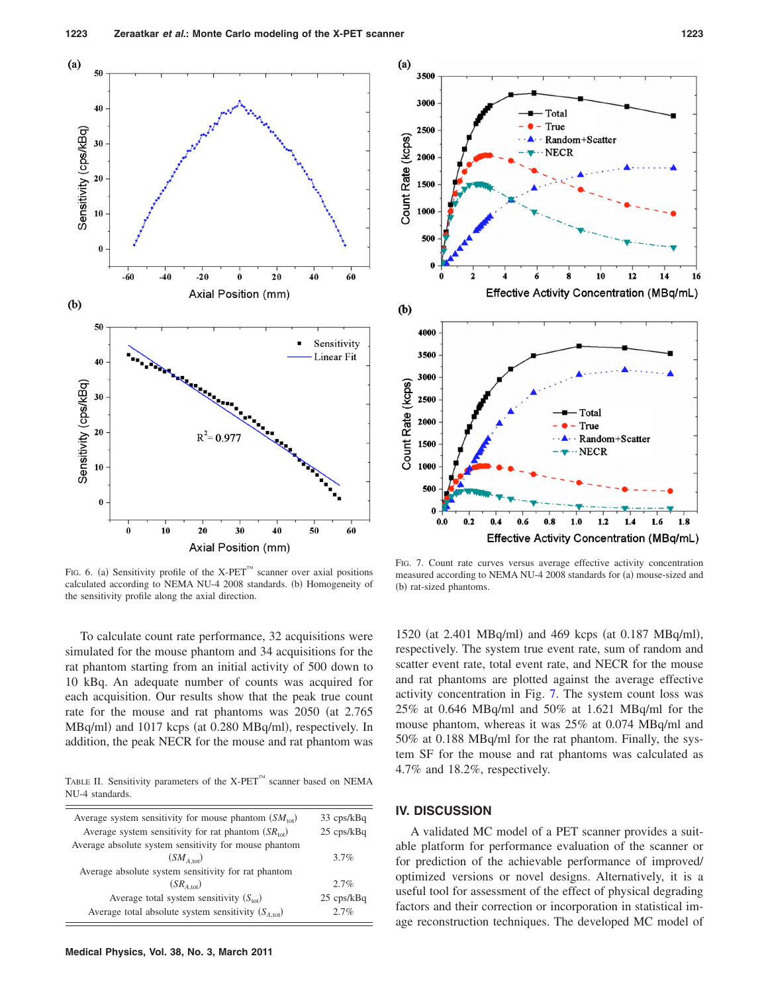<span id="page-6-0"></span>

FIG. 6. (a) Sensitivity profile of the X-PET<sup>™</sup> scanner over axial positions calculated according to NEMA NU-4 2008 standards. (b) Homogeneity of the sensitivity profile along the axial direction.

To calculate count rate performance, 32 acquisitions were simulated for the mouse phantom and 34 acquisitions for the rat phantom starting from an initial activity of 500 down to 10 kBq. An adequate number of counts was acquired for each acquisition. Our results show that the peak true count rate for the mouse and rat phantoms was 2050 (at 2.765) MBq/ml) and 1017 kcps (at 0.280 MBq/ml), respectively. In addition, the peak NECR for the mouse and rat phantom was

<span id="page-6-1"></span>TABLE II. Sensitivity parameters of the  $X$ -PET<sup>™</sup> scanner based on NEMA NU-4 standards.

| Average system sensitivity for mouse phantom $(SM_{\text{tot}})$ | 33 cps/kBq           |
|------------------------------------------------------------------|----------------------|
| Average system sensitivity for rat phantom $(SR_{\text{tot}})$   | $25 \text{ cps/kBq}$ |
| Average absolute system sensitivity for mouse phantom            |                      |
| $(SM_{A\text{ tot}})$                                            | $3.7\%$              |
| Average absolute system sensitivity for rat phantom              |                      |
| $(SR_{A_{\text{tot}}})$                                          | $2.7\%$              |
| Average total system sensitivity $(S_{\text{tot}})$              | $25 \text{ cps/kBq}$ |
| Average total absolute system sensitivity $(SA,tot)$             | 2.7%                 |
|                                                                  |                      |

<span id="page-6-2"></span>

FIG. 7. Count rate curves versus average effective activity concentration measured according to NEMA NU-4 2008 standards for (a) mouse-sized and (b) rat-sized phantoms.

1520 (at 2.401 MBq/ml) and 469 kcps (at 0.187 MBq/ml), respectively. The system true event rate, sum of random and scatter event rate, total event rate, and NECR for the mouse and rat phantoms are plotted against the average effective activity concentration in Fig. [7.](#page-6-2) The system count loss was 25% at 0.646 MBq/ml and 50% at 1.621 MBq/ml for the mouse phantom, whereas it was 25% at 0.074 MBq/ml and 50% at 0.188 MBq/ml for the rat phantom. Finally, the system SF for the mouse and rat phantoms was calculated as 4.7% and 18.2%, respectively.

#### **IV. DISCUSSION**

A validated MC model of a PET scanner provides a suitable platform for performance evaluation of the scanner or for prediction of the achievable performance of improved/ optimized versions or novel designs. Alternatively, it is a useful tool for assessment of the effect of physical degrading factors and their correction or incorporation in statistical image reconstruction techniques. The developed MC model of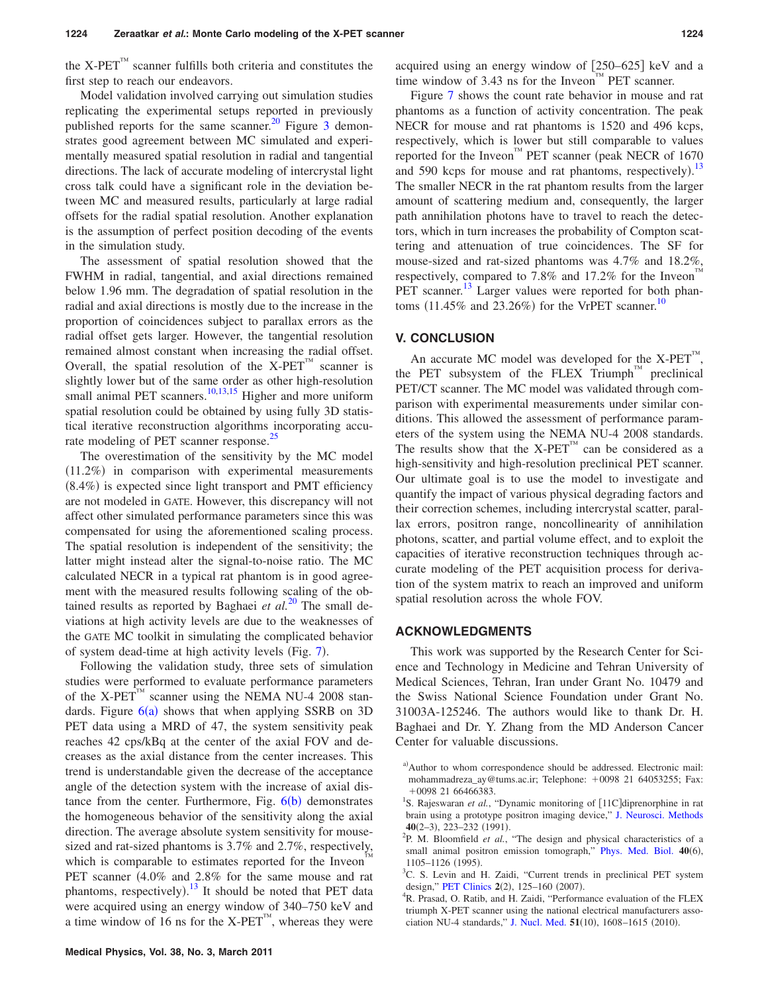the X-PET $T^M$  scanner fulfills both criteria and constitutes the first step to reach our endeavors.

Model validation involved carrying out simulation studies replicating the experimental setups reported in previously published reports for the same scanner.<sup>20</sup> Figure  $\overline{3}$  $\overline{3}$  $\overline{3}$  demonstrates good agreement between MC simulated and experimentally measured spatial resolution in radial and tangential directions. The lack of accurate modeling of intercrystal light cross talk could have a significant role in the deviation between MC and measured results, particularly at large radial offsets for the radial spatial resolution. Another explanation is the assumption of perfect position decoding of the events in the simulation study.

The assessment of spatial resolution showed that the FWHM in radial, tangential, and axial directions remained below 1.96 mm. The degradation of spatial resolution in the radial and axial directions is mostly due to the increase in the proportion of coincidences subject to parallax errors as the radial offset gets larger. However, the tangential resolution remained almost constant when increasing the radial offset. Overall, the spatial resolution of the  $X-PET^{\omega}$  scanner is slightly lower but of the same order as other high-resolution small animal PET scanners. $10,13,15$  $10,13,15$  $10,13,15$  Higher and more uniform spatial resolution could be obtained by using fully 3D statistical iterative reconstruction algorithms incorporating accurate modeling of PET scanner response.<sup>25</sup>

The overestimation of the sensitivity by the MC model (11.2%) in comparison with experimental measurements (8.4%) is expected since light transport and PMT efficiency are not modeled in GATE. However, this discrepancy will not affect other simulated performance parameters since this was compensated for using the aforementioned scaling process. The spatial resolution is independent of the sensitivity; the latter might instead alter the signal-to-noise ratio. The MC calculated NECR in a typical rat phantom is in good agreement with the measured results following scaling of the obtained results as reported by Baghaei  $et \ al.<sup>20</sup>$  $et \ al.<sup>20</sup>$  $et \ al.<sup>20</sup>$  The small deviations at high activity levels are due to the weaknesses of the GATE MC toolkit in simulating the complicated behavior of system dead-time at high activity levels (Fig. [7](#page-6-2)).

Following the validation study, three sets of simulation studies were performed to evaluate performance parameters of the X-PET<sup>TM</sup> scanner using the NEMA NU-4 2008 standards. Figure  $6(a)$  $6(a)$  shows that when applying SSRB on 3D PET data using a MRD of 47, the system sensitivity peak reaches 42 cps/kBq at the center of the axial FOV and decreases as the axial distance from the center increases. This trend is understandable given the decrease of the acceptance angle of the detection system with the increase of axial distance from the center. Furthermore, Fig.  $6(b)$  $6(b)$  demonstrates the homogeneous behavior of the sensitivity along the axial direction. The average absolute system sensitivity for mousesized and rat-sized phantoms is 3.7% and 2.7%, respectively, which is comparable to estimates reported for the Inveon PET scanner (4.0% and 2.8% for the same mouse and rat phantoms, respectively).<sup>[13](#page-8-14)</sup> It should be noted that PET data were acquired using an energy window of 340–750 keV and a time window of 16 ns for the  $X-PET^{\prime\prime\prime}$ , whereas they were

acquired using an energy window of  $[250-625]$  keV and a time window of  $3.43$  ns for the Inveon<sup>™</sup> PET scanner.

Figure [7](#page-6-2) shows the count rate behavior in mouse and rat phantoms as a function of activity concentration. The peak NECR for mouse and rat phantoms is 1520 and 496 kcps, respectively, which is lower but still comparable to values reported for the Inveon™ PET scanner (peak NECR of 1670 and 590 kcps for mouse and rat phantoms, respectively).<sup>[13](#page-8-14)</sup> The smaller NECR in the rat phantom results from the larger amount of scattering medium and, consequently, the larger path annihilation photons have to travel to reach the detectors, which in turn increases the probability of Compton scattering and attenuation of true coincidences. The SF for mouse-sized and rat-sized phantoms was 4.7% and 18.2%, respectively, compared to 7.8% and 17.2% for the Inveon PET scanner.<sup>13</sup> Larger values were reported for both phantoms  $(11.45\%$  and  $23.26\%)$  for the VrPET scanner.<sup>10</sup>

# **V. CONCLUSION**

An accurate MC model was developed for the  $X-PET^M$ , the PET subsystem of the FLEX Triumph<sup>™</sup> preclinical PET/CT scanner. The MC model was validated through comparison with experimental measurements under similar conditions. This allowed the assessment of performance parameters of the system using the NEMA NU-4 2008 standards. The results show that the  $X-PET^M$  can be considered as a high-sensitivity and high-resolution preclinical PET scanner. Our ultimate goal is to use the model to investigate and quantify the impact of various physical degrading factors and their correction schemes, including intercrystal scatter, parallax errors, positron range, noncollinearity of annihilation photons, scatter, and partial volume effect, and to exploit the capacities of iterative reconstruction techniques through accurate modeling of the PET acquisition process for derivation of the system matrix to reach an improved and uniform spatial resolution across the whole FOV.

#### **ACKNOWLEDGMENTS**

This work was supported by the Research Center for Science and Technology in Medicine and Tehran University of Medical Sciences, Tehran, Iran under Grant No. 10479 and the Swiss National Science Foundation under Grant No. 31003A-125246. The authors would like to thank Dr. H. Baghaei and Dr. Y. Zhang from the MD Anderson Cancer Center for valuable discussions.

<span id="page-7-0"></span>a)Author to whom correspondence should be addressed. Electronic mail: mohammadreza\_ay@tums.ac.ir; Telephone: +0098 21 64053255; Fax:  $+0098$  21 66466383.

<span id="page-7-4"></span>R. Prasad, O. Ratib, and H. Zaidi, "Performance evaluation of the FLEX triumph X-PET scanner using the national electrical manufacturers asso-ciation NU-4 standards," [J. Nucl. Med.](http://dx.doi.org/10.2967/jnumed.110.076125) 51(10), 1608-1615 (2010).

<span id="page-7-1"></span><sup>&</sup>lt;sup>1</sup>S. Rajeswaran *et al.*, "Dynamic monitoring of [11C] diprenorphine in rat brain using a prototype positron imaging device," [J. Neurosci. Methods](http://dx.doi.org/10.1016/0165-0270(91)90071-7) **40**(2–3), 223–232 (1991).

<span id="page-7-2"></span>P. M. Bloomfield *et al.*, "The design and physical characteristics of a small animal positron emission tomograph," [Phys. Med. Biol.](http://dx.doi.org/10.1088/0031-9155/40/6/010) 40(6),  $^{1105-1126}$  (1995).

<span id="page-7-3"></span><sup>&</sup>lt;sup>3</sup>C. S. Levin and H. Zaidi, "Current trends in preclinical PET system design," **[PET Clinics](http://dx.doi.org/10.1016/j.cpet.2007.12.001)**  $2(2)$ ,  $125-160$   $(2007)$ .